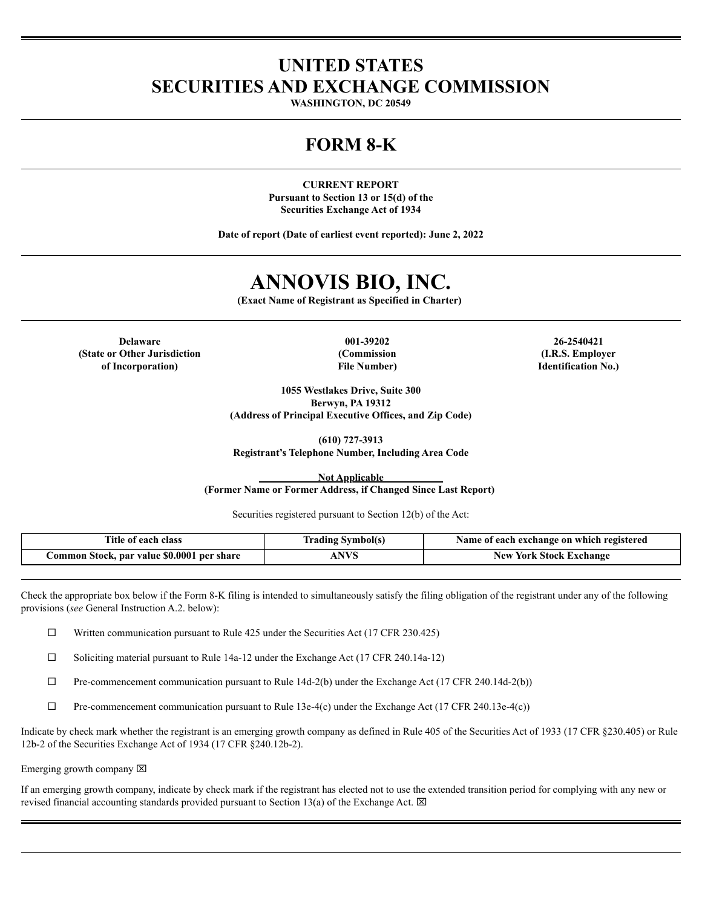### **UNITED STATES SECURITIES AND EXCHANGE COMMISSION**

**WASHINGTON, DC 20549**

## **FORM 8-K**

**CURRENT REPORT Pursuant to Section 13 or 15(d) of the Securities Exchange Act of 1934**

**Date of report (Date of earliest event reported): June 2, 2022**

# **ANNOVIS BIO, INC.**

**(Exact Name of Registrant as Specified in Charter)**

**Delaware 001-39202 26-2540421 (State or Other Jurisdiction of Incorporation)**

**(Commission File Number)**

**(I.R.S. Employer Identification No.)**

**1055 Westlakes Drive, Suite 300 Berwyn, PA 19312 (Address of Principal Executive Offices, and Zip Code)**

**(610) 727-3913 Registrant's Telephone Number, Including Area Code**

**Not Applicable (Former Name or Former Address, if Changed Since Last Report)**

Securities registered pursuant to Section 12(b) of the Act:

| l'itle<br>class<br>each<br>-01                          | radıng<br>Symbol(s. | registered<br>t each exchange on which<br>Name<br>-01 |
|---------------------------------------------------------|---------------------|-------------------------------------------------------|
| : \$0.0001<br>per share<br>Stock, par value<br>tommon : | <b>ATT 74</b>       | Exchange<br>York<br>New<br>.stock.                    |

Check the appropriate box below if the Form 8-K filing is intended to simultaneously satisfy the filing obligation of the registrant under any of the following provisions (*see* General Instruction A.2. below):

 $\Box$  Written communication pursuant to Rule 425 under the Securities Act (17 CFR 230.425)

¨ Soliciting material pursuant to Rule 14a-12 under the Exchange Act (17 CFR 240.14a-12)

 $\Box$  Pre-commencement communication pursuant to Rule 14d-2(b) under the Exchange Act (17 CFR 240.14d-2(b))

 $\Box$  Pre-commencement communication pursuant to Rule 13e-4(c) under the Exchange Act (17 CFR 240.13e-4(c))

Indicate by check mark whether the registrant is an emerging growth company as defined in Rule 405 of the Securities Act of 1933 (17 CFR §230.405) or Rule 12b-2 of the Securities Exchange Act of 1934 (17 CFR §240.12b-2).

Emerging growth company  $\boxtimes$ 

If an emerging growth company, indicate by check mark if the registrant has elected not to use the extended transition period for complying with any new or revised financial accounting standards provided pursuant to Section 13(a) of the Exchange Act.  $\boxtimes$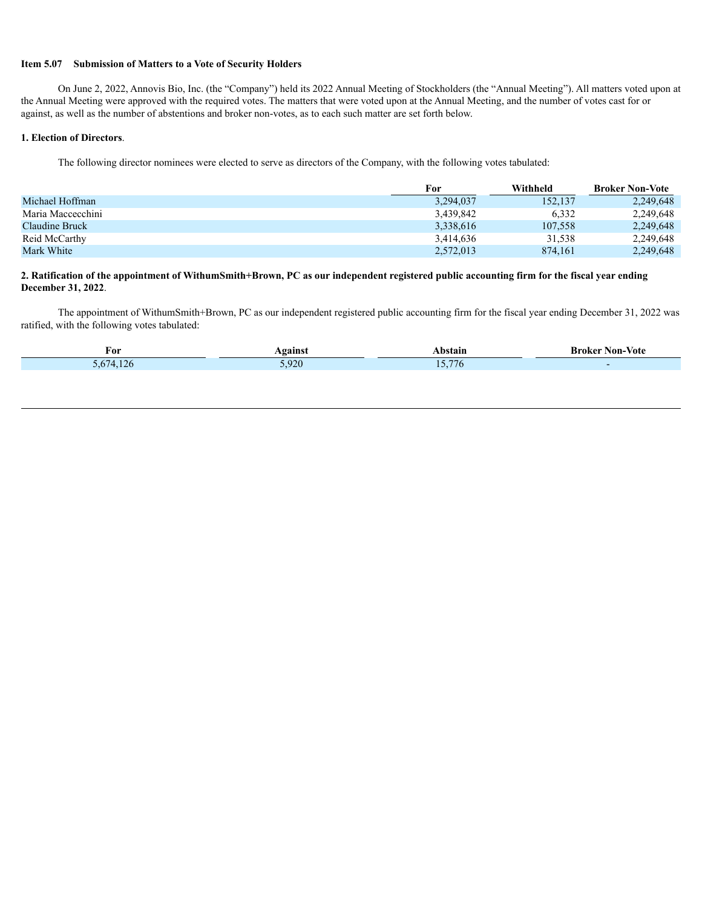#### **Item 5.07 Submission of Matters to a Vote of Security Holders**

On June 2, 2022, Annovis Bio, Inc. (the "Company") held its 2022 Annual Meeting of Stockholders (the "Annual Meeting"). All matters voted upon at the Annual Meeting were approved with the required votes. The matters that were voted upon at the Annual Meeting, and the number of votes cast for or against, as well as the number of abstentions and broker non-votes, as to each such matter are set forth below.

#### **1. Election of Directors**.

The following director nominees were elected to serve as directors of the Company, with the following votes tabulated:

|                   | For       | Withheld | <b>Broker Non-Vote</b> |
|-------------------|-----------|----------|------------------------|
| Michael Hoffman   | 3.294.037 | 152,137  | 2,249,648              |
| Maria Maccecchini | 3.439.842 | 6.332    | 2,249,648              |
| Claudine Bruck    | 3,338,616 | 107.558  | 2,249,648              |
| Reid McCarthy     | 3.414.636 | 31,538   | 2,249,648              |
| Mark White        | 2,572,013 | 874.161  | 2.249.648              |

#### 2. Ratification of the appointment of WithumSmith+Brown, PC as our independent registered public accounting firm for the fiscal year ending **December 31, 2022**.

The appointment of WithumSmith+Brown, PC as our independent registered public accounting firm for the fiscal year ending December 31, 2022 was ratified, with the following votes tabulated:

| For | $-1$ | .                                                                                                                                | Non-Vote<br>- Broker |
|-----|------|----------------------------------------------------------------------------------------------------------------------------------|----------------------|
|     | 0.20 | $- -$<br>$\mathcal{L}(\mathcal{L})$ and $\mathcal{L}(\mathcal{L})$ and $\mathcal{L}(\mathcal{L})$ and $\mathcal{L}(\mathcal{L})$ |                      |